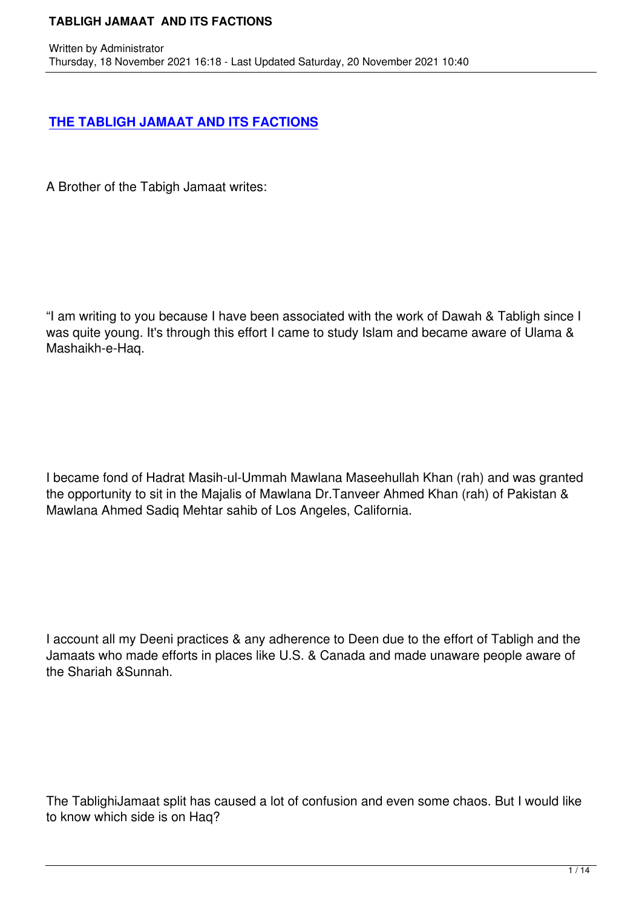[A Brother of the Tabigh Jamaat writes:](books/TABLIGH JAMAAT AND ITS FACTIONS_18112021.pdf)

Written by Administrator and Administrator and Administrator and Administrator and Administrator and Administrator and Administrator and Administrator and Administrator and Administrator and Administrator and Administrator

"I am writing to you because I have been associated with the work of Dawah & Tabligh since I was quite young. It's through this effort I came to study Islam and became aware of Ulama & Mashaikh-e-Haq.

I became fond of Hadrat Masih-ul-Ummah Mawlana Maseehullah Khan (rah) and was granted the opportunity to sit in the Majalis of Mawlana Dr.Tanveer Ahmed Khan (rah) of Pakistan & Mawlana Ahmed Sadiq Mehtar sahib of Los Angeles, California.

I account all my Deeni practices & any adherence to Deen due to the effort of Tabligh and the Jamaats who made efforts in places like U.S. & Canada and made unaware people aware of the Shariah &Sunnah.

The TablighiJamaat split has caused a lot of confusion and even some chaos. But I would like to know which side is on Haq?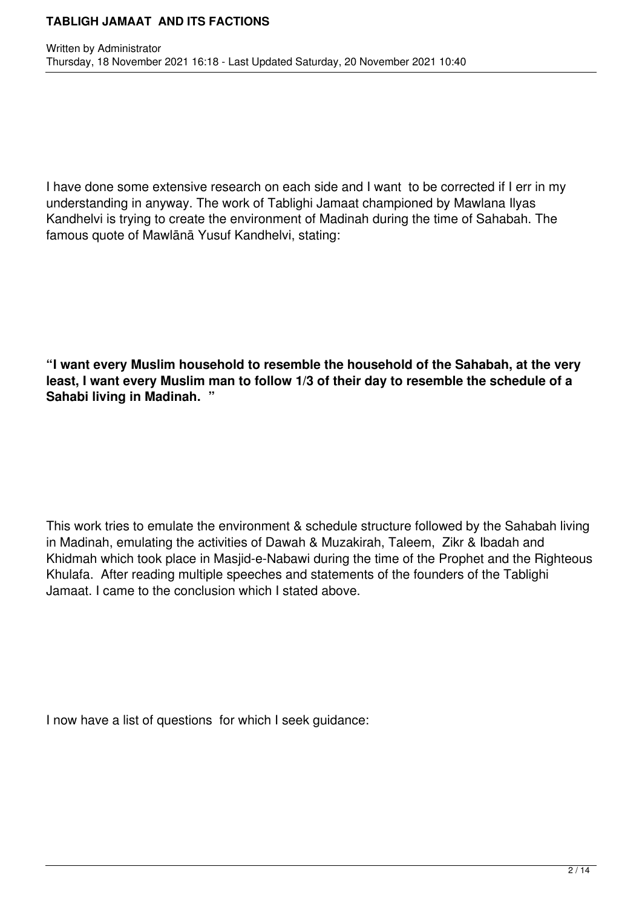I have done some extensive research on each side and I want to be corrected if I err in my understanding in anyway. The work of Tablighi Jamaat championed by Mawlana Ilyas Kandhelvi is trying to create the environment of Madinah during the time of Sahabah. The famous quote of Mawlānā Yusuf Kandhelvi, stating:

**"I want every Muslim household to resemble the household of the Sahabah, at the very least, I want every Muslim man to follow 1/3 of their day to resemble the schedule of a Sahabi living in Madinah. "**

This work tries to emulate the environment & schedule structure followed by the Sahabah living in Madinah, emulating the activities of Dawah & Muzakirah, Taleem, Zikr & Ibadah and Khidmah which took place in Masjid-e-Nabawi during the time of the Prophet and the Righteous Khulafa. After reading multiple speeches and statements of the founders of the Tablighi Jamaat. I came to the conclusion which I stated above.

I now have a list of questions for which I seek guidance: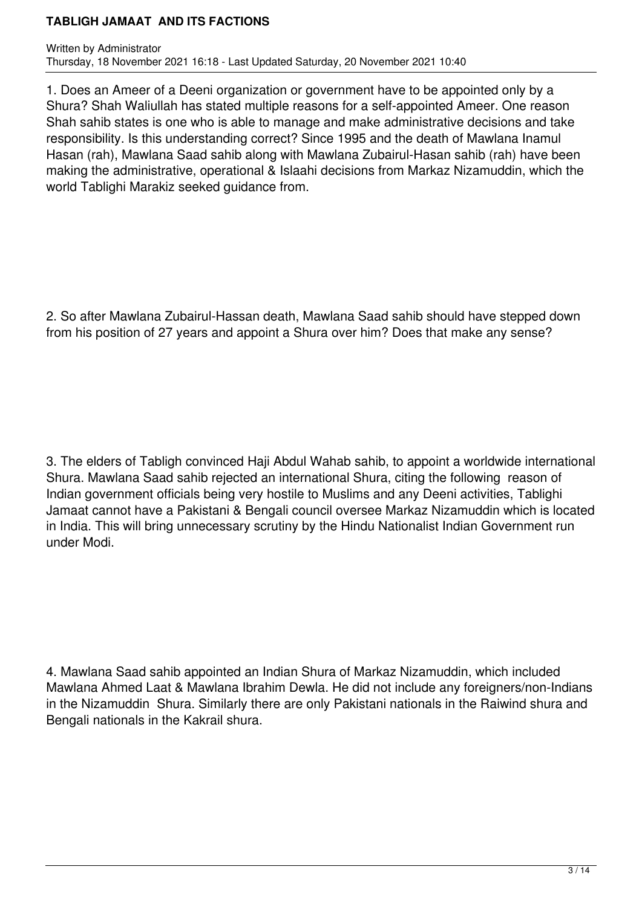1. Does an Ameer of a Deeni organization or government have to be appointed only by a Shura? Shah Waliullah has stated multiple reasons for a self-appointed Ameer. One reason Shah sahib states is one who is able to manage and make administrative decisions and take responsibility. Is this understanding correct? Since 1995 and the death of Mawlana Inamul Hasan (rah), Mawlana Saad sahib along with Mawlana Zubairul-Hasan sahib (rah) have been making the administrative, operational & Islaahi decisions from Markaz Nizamuddin, which the world Tablighi Marakiz seeked guidance from.

2. So after Mawlana Zubairul-Hassan death, Mawlana Saad sahib should have stepped down from his position of 27 years and appoint a Shura over him? Does that make any sense?

3. The elders of Tabligh convinced Haji Abdul Wahab sahib, to appoint a worldwide international Shura. Mawlana Saad sahib rejected an international Shura, citing the following reason of Indian government officials being very hostile to Muslims and any Deeni activities, Tablighi Jamaat cannot have a Pakistani & Bengali council oversee Markaz Nizamuddin which is located in India. This will bring unnecessary scrutiny by the Hindu Nationalist Indian Government run under Modi.

4. Mawlana Saad sahib appointed an Indian Shura of Markaz Nizamuddin, which included Mawlana Ahmed Laat & Mawlana Ibrahim Dewla. He did not include any foreigners/non-Indians in the Nizamuddin Shura. Similarly there are only Pakistani nationals in the Raiwind shura and Bengali nationals in the Kakrail shura.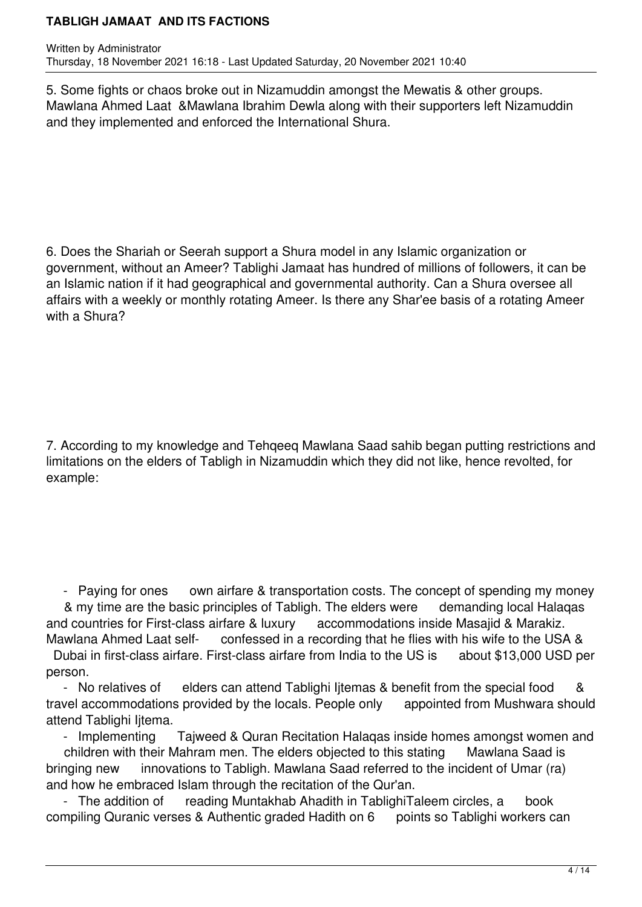5. Some fights or chaos broke out in Nizamuddin amongst the Mewatis & other groups. Mawlana Ahmed Laat &Mawlana Ibrahim Dewla along with their supporters left Nizamuddin and they implemented and enforced the International Shura.

6. Does the Shariah or Seerah support a Shura model in any Islamic organization or government, without an Ameer? Tablighi Jamaat has hundred of millions of followers, it can be an Islamic nation if it had geographical and governmental authority. Can a Shura oversee all affairs with a weekly or monthly rotating Ameer. Is there any Shar'ee basis of a rotating Ameer with a Shura?

7. According to my knowledge and Tehqeeq Mawlana Saad sahib began putting restrictions and limitations on the elders of Tabligh in Nizamuddin which they did not like, hence revolted, for example:

- Paying for ones own airfare & transportation costs. The concept of spending my money & my time are the basic principles of Tabligh. The elders were demanding local Halaqas and countries for First-class airfare & luxury accommodations inside Masajid & Marakiz.

Mawlana Ahmed Laat self- confessed in a recording that he flies with his wife to the USA & Dubai in first-class airfare. First-class airfare from India to the US is about \$13,000 USD per person.

- No relatives of elders can attend Tablighi Ijtemas & benefit from the special food & travel accommodations provided by the locals. People only appointed from Mushwara should attend Tablighi Ijtema.

- Implementing Tajweed & Quran Recitation Halaqas inside homes amongst women and

children with their Mahram men. The elders objected to this stating Mawlana Saad is bringing new innovations to Tabligh. Mawlana Saad referred to the incident of Umar (ra) and how he embraced Islam through the recitation of the Qur'an.

- The addition of reading Muntakhab Ahadith in Tablight Taleem circles, a book compiling Quranic verses & Authentic graded Hadith on 6 points so Tablighi workers can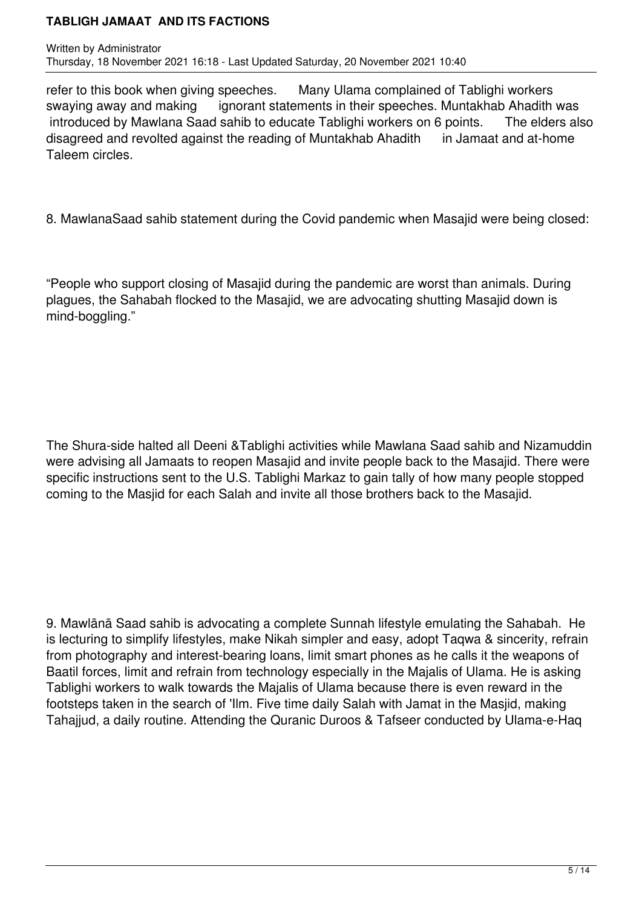refer to this book when giving speeches. Many Ulama complained of Tablighi workers swaying away and making ignorant statements in their speeches. Muntakhab Ahadith was introduced by Mawlana Saad sahib to educate Tablighi workers on 6 points. The elders also disagreed and revolted against the reading of Muntakhab Ahadith in Jamaat and at-home Taleem circles.

8. MawlanaSaad sahib statement during the Covid pandemic when Masajid were being closed:

"People who support closing of Masajid during the pandemic are worst than animals. During plagues, the Sahabah flocked to the Masajid, we are advocating shutting Masajid down is mind-boggling."

The Shura-side halted all Deeni &Tablighi activities while Mawlana Saad sahib and Nizamuddin were advising all Jamaats to reopen Masajid and invite people back to the Masajid. There were specific instructions sent to the U.S. Tablighi Markaz to gain tally of how many people stopped coming to the Masjid for each Salah and invite all those brothers back to the Masajid.

9. Mawlānā Saad sahib is advocating a complete Sunnah lifestyle emulating the Sahabah. He is lecturing to simplify lifestyles, make Nikah simpler and easy, adopt Taqwa & sincerity, refrain from photography and interest-bearing loans, limit smart phones as he calls it the weapons of Baatil forces, limit and refrain from technology especially in the Majalis of Ulama. He is asking Tablighi workers to walk towards the Majalis of Ulama because there is even reward in the footsteps taken in the search of 'Ilm. Five time daily Salah with Jamat in the Masjid, making Tahajjud, a daily routine. Attending the Quranic Duroos & Tafseer conducted by Ulama-e-Haq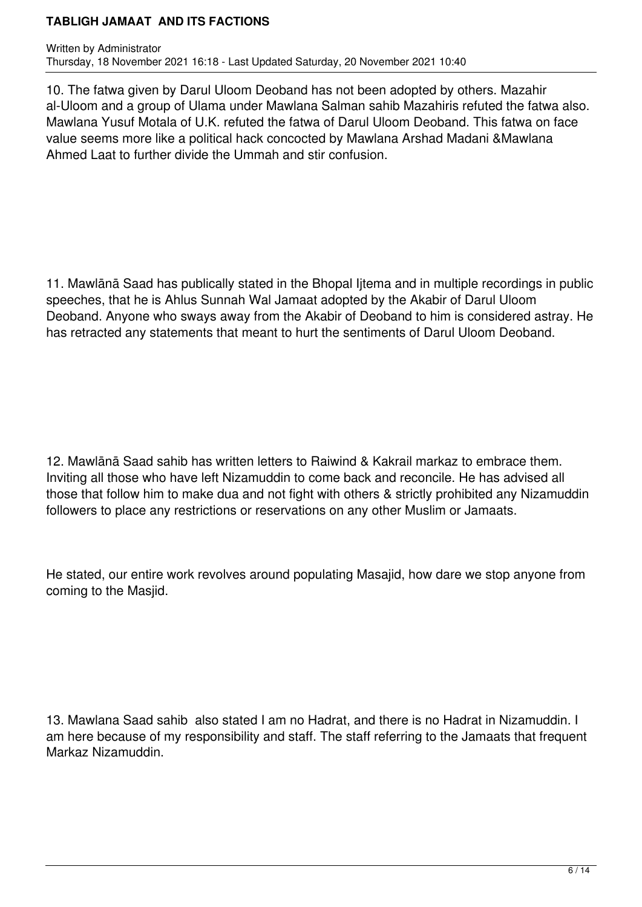10. The fatwa given by Darul Uloom Deoband has not been adopted by others. Mazahir al-Uloom and a group of Ulama under Mawlana Salman sahib Mazahiris refuted the fatwa also. Mawlana Yusuf Motala of U.K. refuted the fatwa of Darul Uloom Deoband. This fatwa on face value seems more like a political hack concocted by Mawlana Arshad Madani &Mawlana Ahmed Laat to further divide the Ummah and stir confusion.

11. Mawlānā Saad has publically stated in the Bhopal Ijtema and in multiple recordings in public speeches, that he is Ahlus Sunnah Wal Jamaat adopted by the Akabir of Darul Uloom Deoband. Anyone who sways away from the Akabir of Deoband to him is considered astray. He has retracted any statements that meant to hurt the sentiments of Darul Uloom Deoband.

12. Mawlānā Saad sahib has written letters to Raiwind & Kakrail markaz to embrace them. Inviting all those who have left Nizamuddin to come back and reconcile. He has advised all those that follow him to make dua and not fight with others & strictly prohibited any Nizamuddin followers to place any restrictions or reservations on any other Muslim or Jamaats.

He stated, our entire work revolves around populating Masajid, how dare we stop anyone from coming to the Masjid.

13. Mawlana Saad sahib also stated I am no Hadrat, and there is no Hadrat in Nizamuddin. I am here because of my responsibility and staff. The staff referring to the Jamaats that frequent Markaz Nizamuddin.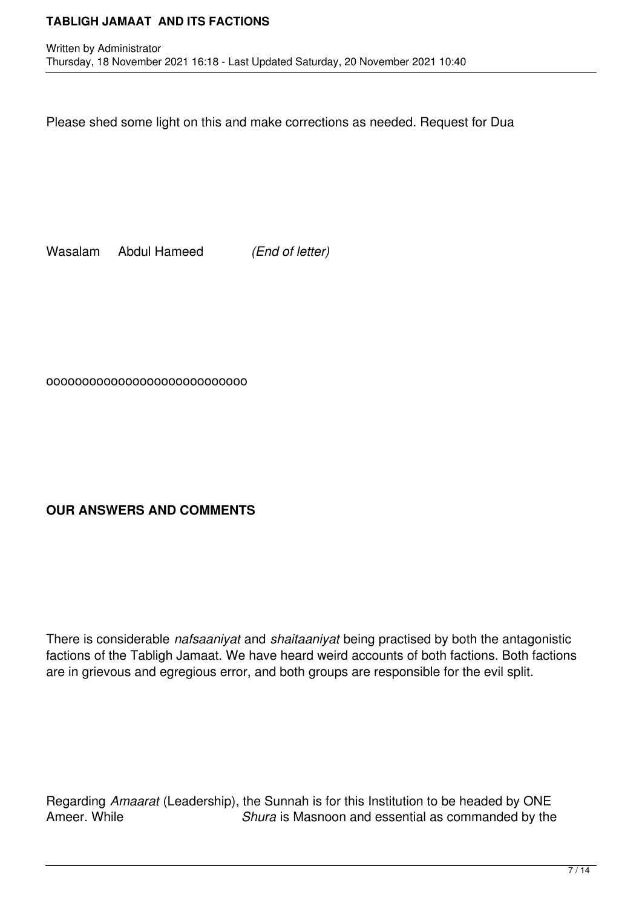Please shed some light on this and make corrections as needed. Request for Dua

Wasalam Abdul Hameed *(End of letter)*

oooooooooooooooooooooooooooo

# **OUR ANSWERS AND COMMENTS**

There is considerable *nafsaaniyat* and *shaitaaniyat* being practised by both the antagonistic factions of the Tabligh Jamaat. We have heard weird accounts of both factions. Both factions are in grievous and egregious error, and both groups are responsible for the evil split.

Regarding *Amaarat* (Leadership), the Sunnah is for this Institution to be headed by ONE Shura is Masnoon and essential as commanded by the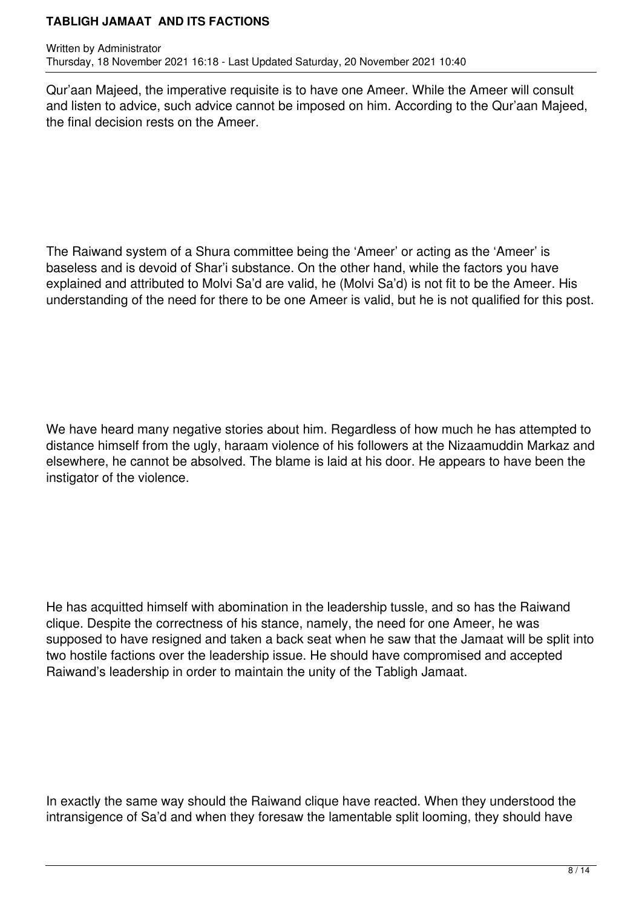Qur'aan Majeed, the imperative requisite is to have one Ameer. While the Ameer will consult and listen to advice, such advice cannot be imposed on him. According to the Qur'aan Majeed, the final decision rests on the Ameer.

The Raiwand system of a Shura committee being the 'Ameer' or acting as the 'Ameer' is baseless and is devoid of Shar'i substance. On the other hand, while the factors you have explained and attributed to Molvi Sa'd are valid, he (Molvi Sa'd) is not fit to be the Ameer. His understanding of the need for there to be one Ameer is valid, but he is not qualified for this post.

We have heard many negative stories about him. Regardless of how much he has attempted to distance himself from the ugly, haraam violence of his followers at the Nizaamuddin Markaz and elsewhere, he cannot be absolved. The blame is laid at his door. He appears to have been the instigator of the violence.

He has acquitted himself with abomination in the leadership tussle, and so has the Raiwand clique. Despite the correctness of his stance, namely, the need for one Ameer, he was supposed to have resigned and taken a back seat when he saw that the Jamaat will be split into two hostile factions over the leadership issue. He should have compromised and accepted Raiwand's leadership in order to maintain the unity of the Tabligh Jamaat.

In exactly the same way should the Raiwand clique have reacted. When they understood the intransigence of Sa'd and when they foresaw the lamentable split looming, they should have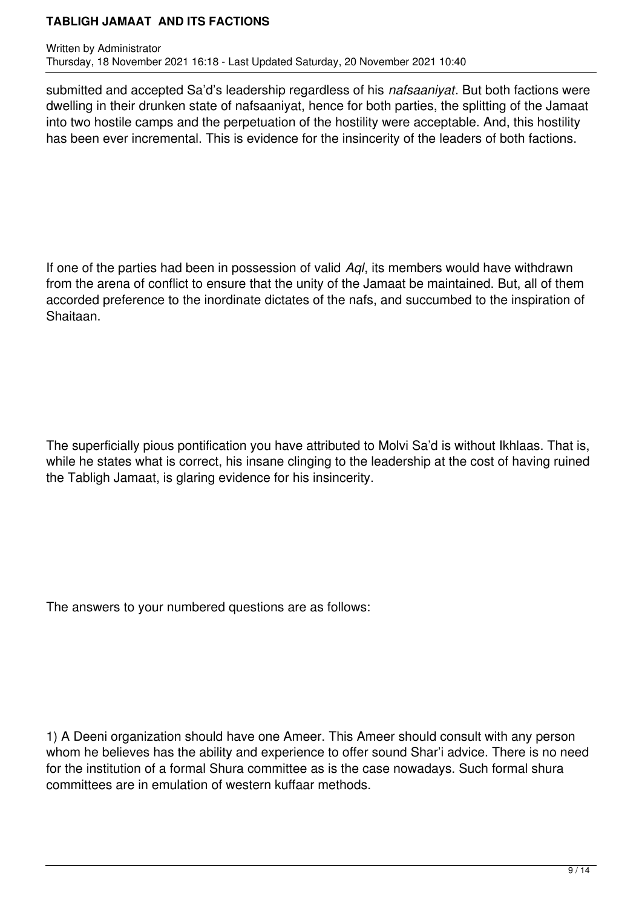submitted and accepted Sa'd's leadership regardless of his *nafsaaniyat*. But both factions were dwelling in their drunken state of nafsaaniyat, hence for both parties, the splitting of the Jamaat into two hostile camps and the perpetuation of the hostility were acceptable. And, this hostility has been ever incremental. This is evidence for the insincerity of the leaders of both factions.

If one of the parties had been in possession of valid *Aql*, its members would have withdrawn from the arena of conflict to ensure that the unity of the Jamaat be maintained. But, all of them accorded preference to the inordinate dictates of the nafs, and succumbed to the inspiration of Shaitaan.

The superficially pious pontification you have attributed to Molvi Sa'd is without Ikhlaas. That is, while he states what is correct, his insane clinging to the leadership at the cost of having ruined the Tabligh Jamaat, is glaring evidence for his insincerity.

The answers to your numbered questions are as follows:

1) A Deeni organization should have one Ameer. This Ameer should consult with any person whom he believes has the ability and experience to offer sound Shar'i advice. There is no need for the institution of a formal Shura committee as is the case nowadays. Such formal shura committees are in emulation of western kuffaar methods.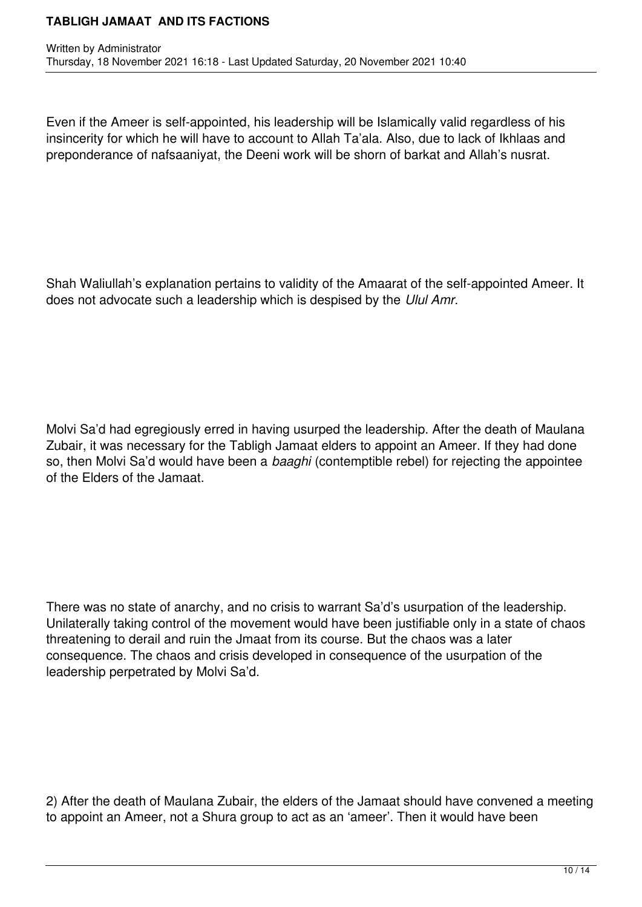Even if the Ameer is self-appointed, his leadership will be Islamically valid regardless of his insincerity for which he will have to account to Allah Ta'ala. Also, due to lack of Ikhlaas and preponderance of nafsaaniyat, the Deeni work will be shorn of barkat and Allah's nusrat.

Shah Waliullah's explanation pertains to validity of the Amaarat of the self-appointed Ameer. It does not advocate such a leadership which is despised by the *Ulul Amr.* 

Molvi Sa'd had egregiously erred in having usurped the leadership. After the death of Maulana Zubair, it was necessary for the Tabligh Jamaat elders to appoint an Ameer. If they had done so, then Molvi Sa'd would have been a *baaghi* (contemptible rebel) for rejecting the appointee of the Elders of the Jamaat.

There was no state of anarchy, and no crisis to warrant Sa'd's usurpation of the leadership. Unilaterally taking control of the movement would have been justifiable only in a state of chaos threatening to derail and ruin the Jmaat from its course. But the chaos was a later consequence. The chaos and crisis developed in consequence of the usurpation of the leadership perpetrated by Molvi Sa'd.

2) After the death of Maulana Zubair, the elders of the Jamaat should have convened a meeting to appoint an Ameer, not a Shura group to act as an 'ameer'. Then it would have been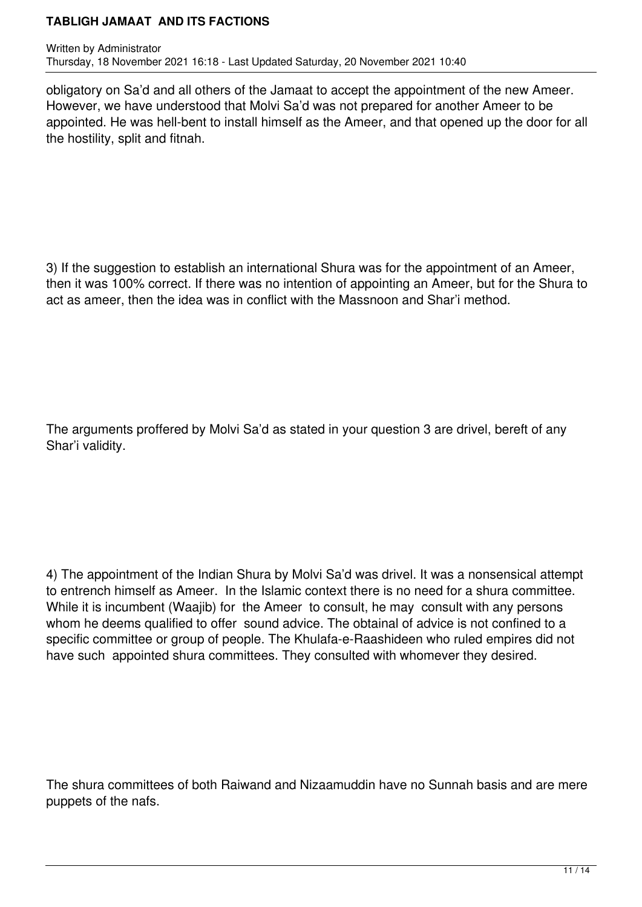obligatory on Sa'd and all others of the Jamaat to accept the appointment of the new Ameer. However, we have understood that Molvi Sa'd was not prepared for another Ameer to be appointed. He was hell-bent to install himself as the Ameer, and that opened up the door for all the hostility, split and fitnah.

3) If the suggestion to establish an international Shura was for the appointment of an Ameer, then it was 100% correct. If there was no intention of appointing an Ameer, but for the Shura to act as ameer, then the idea was in conflict with the Massnoon and Shar'i method.

The arguments proffered by Molvi Sa'd as stated in your question 3 are drivel, bereft of any Shar'i validity.

4) The appointment of the Indian Shura by Molvi Sa'd was drivel. It was a nonsensical attempt to entrench himself as Ameer. In the Islamic context there is no need for a shura committee. While it is incumbent (Waajib) for the Ameer to consult, he may consult with any persons whom he deems qualified to offer sound advice. The obtainal of advice is not confined to a specific committee or group of people. The Khulafa-e-Raashideen who ruled empires did not have such appointed shura committees. They consulted with whomever they desired.

The shura committees of both Raiwand and Nizaamuddin have no Sunnah basis and are mere puppets of the nafs.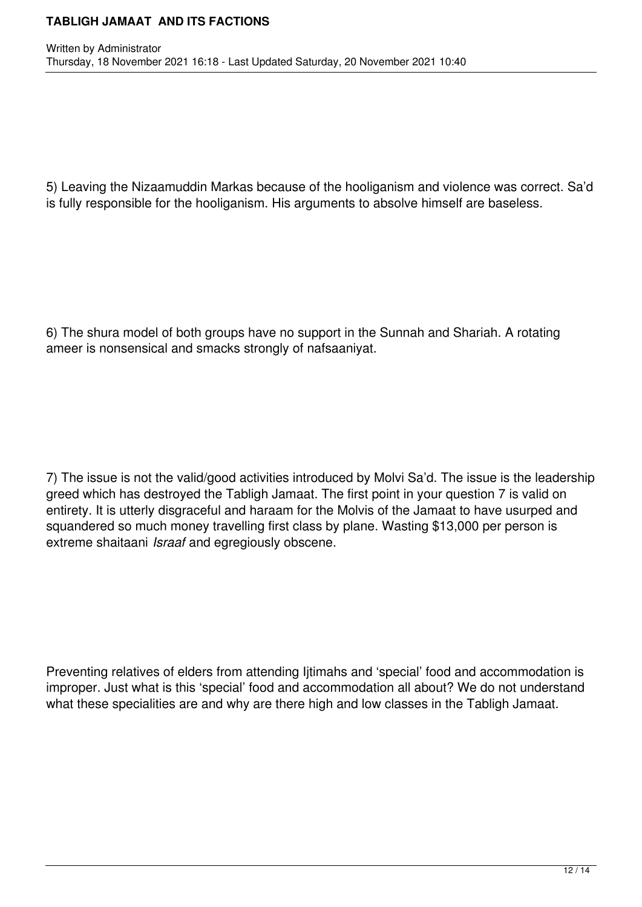5) Leaving the Nizaamuddin Markas because of the hooliganism and violence was correct. Sa'd is fully responsible for the hooliganism. His arguments to absolve himself are baseless.

6) The shura model of both groups have no support in the Sunnah and Shariah. A rotating ameer is nonsensical and smacks strongly of nafsaaniyat.

7) The issue is not the valid/good activities introduced by Molvi Sa'd. The issue is the leadership greed which has destroyed the Tabligh Jamaat. The first point in your question 7 is valid on entirety. It is utterly disgraceful and haraam for the Molvis of the Jamaat to have usurped and squandered so much money travelling first class by plane. Wasting \$13,000 per person is extreme shaitaani *Israaf* and egregiously obscene.

Preventing relatives of elders from attending Ijtimahs and 'special' food and accommodation is improper. Just what is this 'special' food and accommodation all about? We do not understand what these specialities are and why are there high and low classes in the Tabligh Jamaat.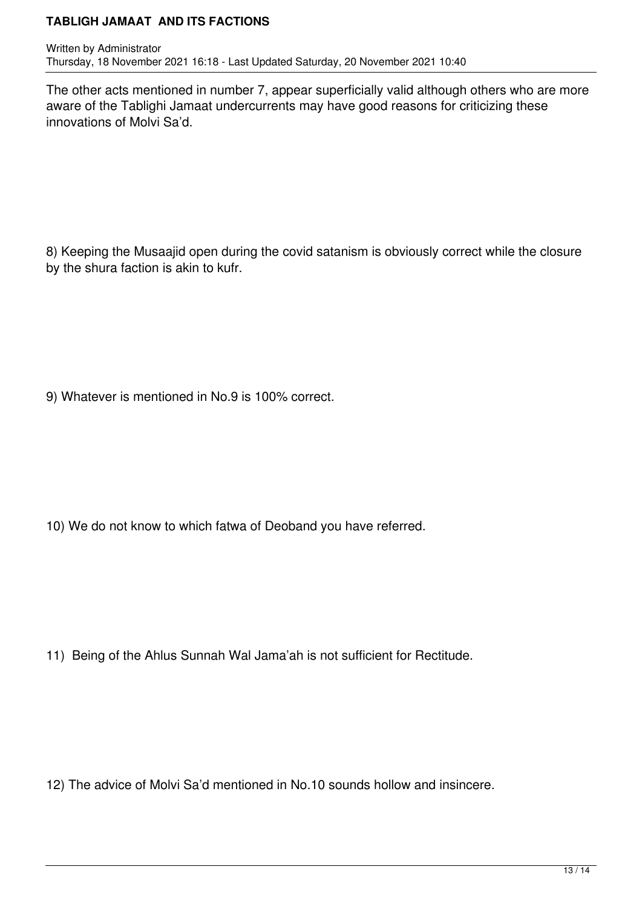The other acts mentioned in number 7, appear superficially valid although others who are more aware of the Tablighi Jamaat undercurrents may have good reasons for criticizing these innovations of Molvi Sa'd.

8) Keeping the Musaajid open during the covid satanism is obviously correct while the closure by the shura faction is akin to kufr.

9) Whatever is mentioned in No.9 is 100% correct.

10) We do not know to which fatwa of Deoband you have referred.

11) Being of the Ahlus Sunnah Wal Jama'ah is not sufficient for Rectitude.

12) The advice of Molvi Sa'd mentioned in No.10 sounds hollow and insincere.